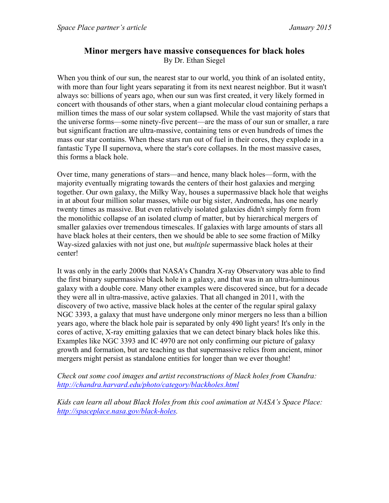## **Minor mergers have massive consequences for black holes**  By Dr. Ethan Siegel

When you think of our sun, the nearest star to our world, you think of an isolated entity, with more than four light years separating it from its next nearest neighbor. But it wasn't always so: billions of years ago, when our sun was first created, it very likely formed in concert with thousands of other stars, when a giant molecular cloud containing perhaps a million times the mass of our solar system collapsed. While the vast majority of stars that the universe forms—some ninety-five percent—are the mass of our sun or smaller, a rare but significant fraction are ultra-massive, containing tens or even hundreds of times the mass our star contains. When these stars run out of fuel in their cores, they explode in a fantastic Type II supernova, where the star's core collapses. In the most massive cases, this forms a black hole.

Over time, many generations of stars—and hence, many black holes—form, with the majority eventually migrating towards the centers of their host galaxies and merging together. Our own galaxy, the Milky Way, houses a supermassive black hole that weighs in at about four million solar masses, while our big sister, Andromeda, has one nearly twenty times as massive. But even relatively isolated galaxies didn't simply form from the monolithic collapse of an isolated clump of matter, but by hierarchical mergers of smaller galaxies over tremendous timescales. If galaxies with large amounts of stars all have black holes at their centers, then we should be able to see some fraction of Milky Way-sized galaxies with not just one, but *multiple* supermassive black holes at their center!

It was only in the early 2000s that NASA's Chandra X-ray Observatory was able to find the first binary supermassive black hole in a galaxy, and that was in an ultra-luminous galaxy with a double core. Many other examples were discovered since, but for a decade they were all in ultra-massive, active galaxies. That all changed in 2011, with the discovery of two active, massive black holes at the center of the regular spiral galaxy NGC 3393, a galaxy that must have undergone only minor mergers no less than a billion years ago, where the black hole pair is separated by only 490 light years! It's only in the cores of active, X-ray emitting galaxies that we can detect binary black holes like this. Examples like NGC 3393 and IC 4970 are not only confirming our picture of galaxy growth and formation, but are teaching us that supermassive relics from ancient, minor mergers might persist as standalone entities for longer than we ever thought!

*Check out some cool images and artist reconstructions of black holes from Chandra: http://chandra.harvard.edu/photo/category/blackholes.html*

*Kids can learn all about Black Holes from this cool animation at NASA's Space Place: http://spaceplace.nasa.gov/black-holes.*